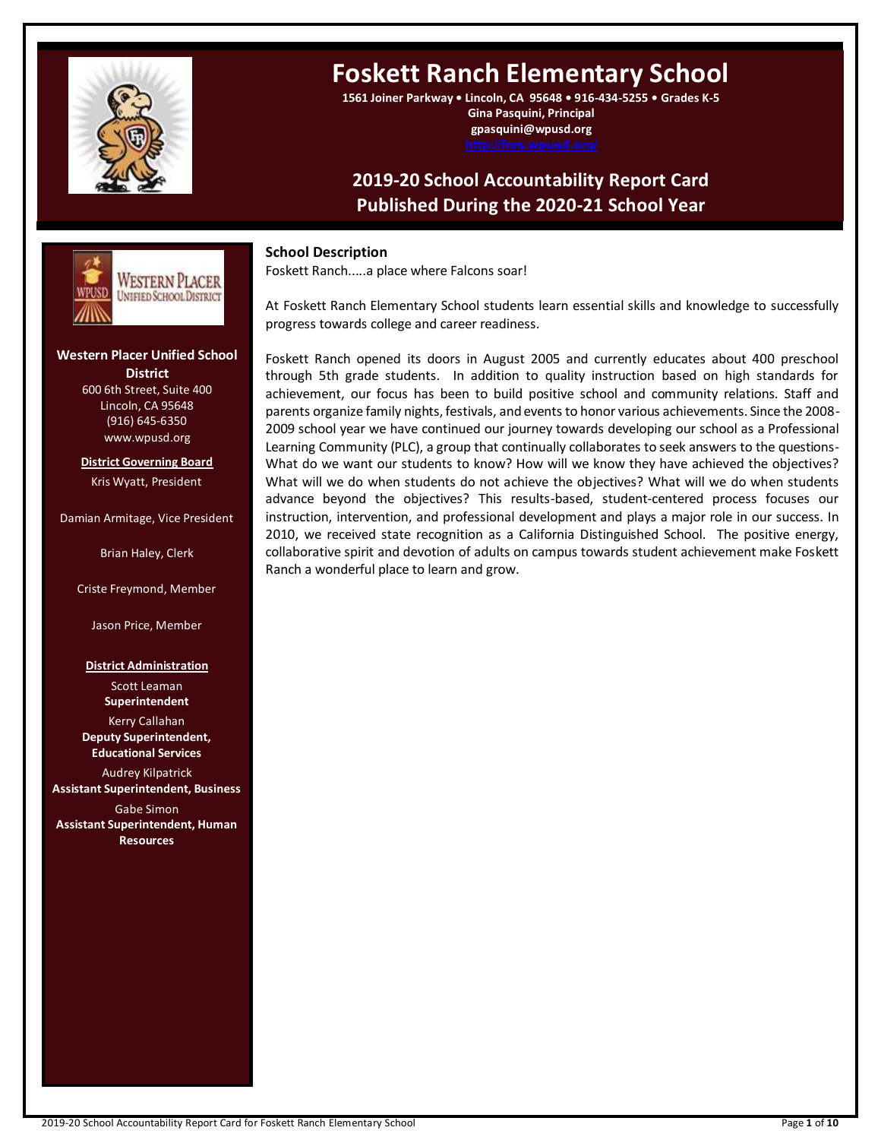

# **Foskett Ranch Elementary School**

**1561 Joiner Parkway • Lincoln, CA 95648 • 916-434-5255 • Grades K-5 Gina Pasquini, Principal gpasquini@wpusd.org**

## **2019-20 School Accountability Report Card Published During the 2020-21 School Year**



# **Western Placer Unified School ---- ---**

**District** 600 6th Street, Suite 400 Lincoln, CA 95648 (916) 645-6350 www.wpusd.org

**District Governing Board** Kris Wyatt, President

Damian Armitage, Vice President

Brian Haley, Clerk

Criste Freymond, Member

Jason Price, Member

#### **District Administration**

Scott Leaman **Superintendent** Kerry Callahan **Deputy Superintendent, Educational Services**

Audrey Kilpatrick **Assistant Superintendent, Business**

Gabe Simon **Assistant Superintendent, Human Resources**

### **School Description**

Foskett Ranch.....a place where Falcons soar!

At Foskett Ranch Elementary School students learn essential skills and knowledge to successfully progress towards college and career readiness.

Foskett Ranch opened its doors in August 2005 and currently educates about 400 preschool through 5th grade students. In addition to quality instruction based on high standards for achievement, our focus has been to build positive school and community relations. Staff and parents organize family nights, festivals, and events to honor various achievements. Since the 2008- 2009 school year we have continued our journey towards developing our school as a Professional Learning Community (PLC), a group that continually collaborates to seek answers to the questions-What do we want our students to know? How will we know they have achieved the objectives? What will we do when students do not achieve the objectives? What will we do when students advance beyond the objectives? This results-based, student-centered process focuses our instruction, intervention, and professional development and plays a major role in our success. In 2010, we received state recognition as a California Distinguished School. The positive energy, collaborative spirit and devotion of adults on campus towards student achievement make Foskett Ranch a wonderful place to learn and grow.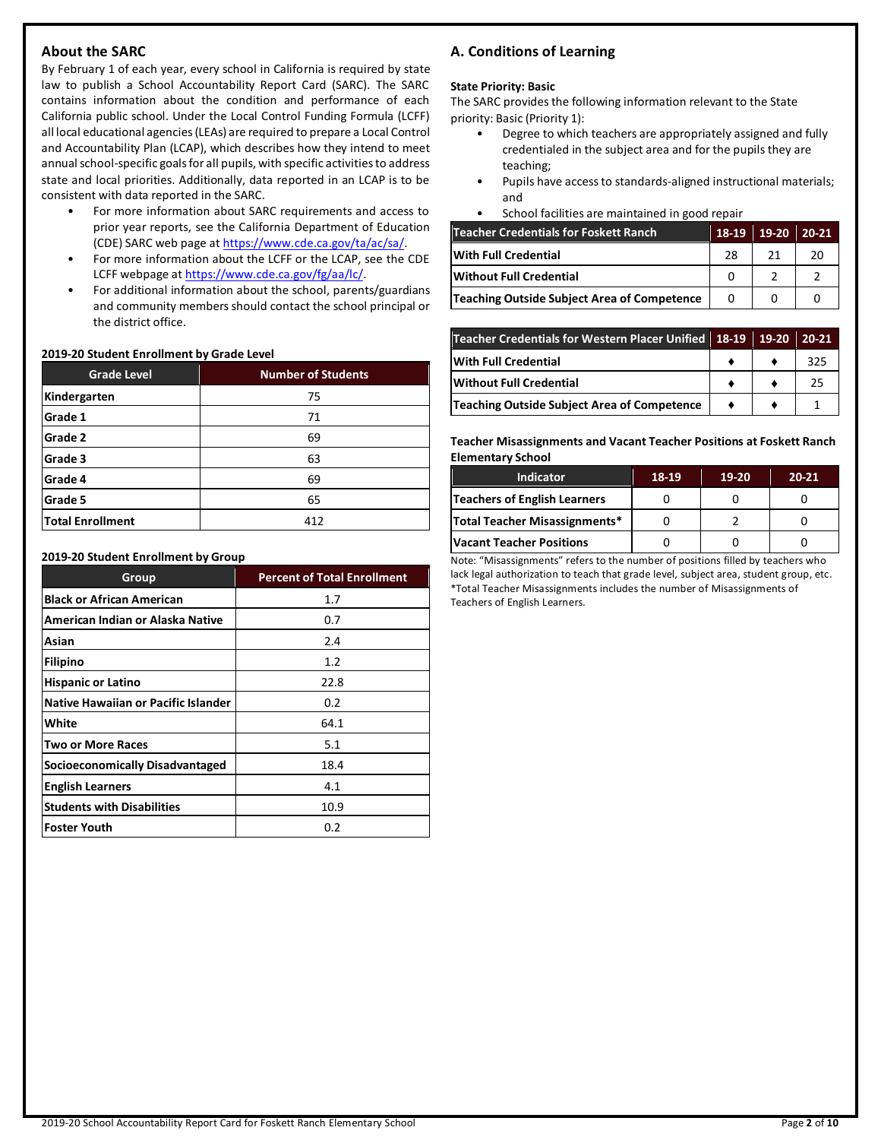### **About the SARC**

By February 1 of each year, every school in California is required by state law to publish a School Accountability Report Card (SARC). The SARC contains information about the condition and performance of each California public school. Under the Local Control Funding Formula (LCFF) all local educational agencies (LEAs) are required to prepare a Local Control and Accountability Plan (LCAP), which describes how they intend to meet annual school-specific goals for all pupils, with specific activities to address state and local priorities. Additionally, data reported in an LCAP is to be consistent with data reported in the SARC.

- For more information about SARC requirements and access to prior year reports, see the California Department of Education (CDE) SARC web page at [https://www.cde.ca.gov/ta/ac/sa/.](https://www.cde.ca.gov/ta/ac/sa/)
- For more information about the LCFF or the LCAP, see the CDE LCFF webpage a[t https://www.cde.ca.gov/fg/aa/lc/.](https://www.cde.ca.gov/fg/aa/lc/)
- For additional information about the school, parents/guardians and community members should contact the school principal or the district office.

### **2019-20 Student Enrollment by Grade Level**

| <b>Grade Level</b>      | <b>Number of Students</b> |
|-------------------------|---------------------------|
| Kindergarten            | 75                        |
| Grade 1                 | 71                        |
| Grade 2                 | 69                        |
| Grade 3                 | 63                        |
| Grade 4                 | 69                        |
| Grade 5                 | 65                        |
| <b>Total Enrollment</b> | 412                       |

#### **2019-20 Student Enrollment by Group**

| Group                               | <b>Percent of Total Enrollment</b> |
|-------------------------------------|------------------------------------|
| <b>Black or African American</b>    | 1.7                                |
| American Indian or Alaska Native    | 0.7                                |
| Asian                               | 2.4                                |
| <b>Filipino</b>                     | 1.2                                |
| <b>Hispanic or Latino</b>           | 22.8                               |
| Native Hawaiian or Pacific Islander | 0.2                                |
| White                               | 64.1                               |
| Two or More Races                   | 5.1                                |
| Socioeconomically Disadvantaged     | 18.4                               |
| <b>English Learners</b>             | 4.1                                |
| <b>Students with Disabilities</b>   | 10.9                               |
| <b>Foster Youth</b>                 | 0.2                                |

### **A. Conditions of Learning**

#### **State Priority: Basic**

The SARC provides the following information relevant to the State priority: Basic (Priority 1):

- Degree to which teachers are appropriately assigned and fully credentialed in the subject area and for the pupils they are teaching;
- Pupils have access to standards-aligned instructional materials; and
- School facilities are maintained in good repair

| <b>Teacher Credentials for Foskett Ranch</b> | 18-19 | $19-20$ | $20 - 21$ |
|----------------------------------------------|-------|---------|-----------|
| With Full Credential                         | 28    |         | 20        |
| Without Full Credential                      |       |         |           |
| Teaching Outside Subject Area of Competence  |       |         |           |

| Teacher Credentials for Western Placer Unified 18-19 19-20 20-21 |  |     |
|------------------------------------------------------------------|--|-----|
| <b>With Full Credential</b>                                      |  | 325 |
| <b>Without Full Credential</b>                                   |  | 25  |
| <b>Teaching Outside Subject Area of Competence</b>               |  |     |

**Teacher Misassignments and Vacant Teacher Positions at Foskett Ranch Elementary School**

| <b>Indicator</b>                | 18-19 | $19-20$ | $20 - 21$ |
|---------------------------------|-------|---------|-----------|
| Teachers of English Learners    |       |         |           |
| Total Teacher Misassignments*   |       |         |           |
| <b>Vacant Teacher Positions</b> |       |         |           |

Note: "Misassignments" refers to the number of positions filled by teachers who lack legal authorization to teach that grade level, subject area, student group, etc. \*Total Teacher Misassignments includes the number of Misassignments of Teachers of English Learners.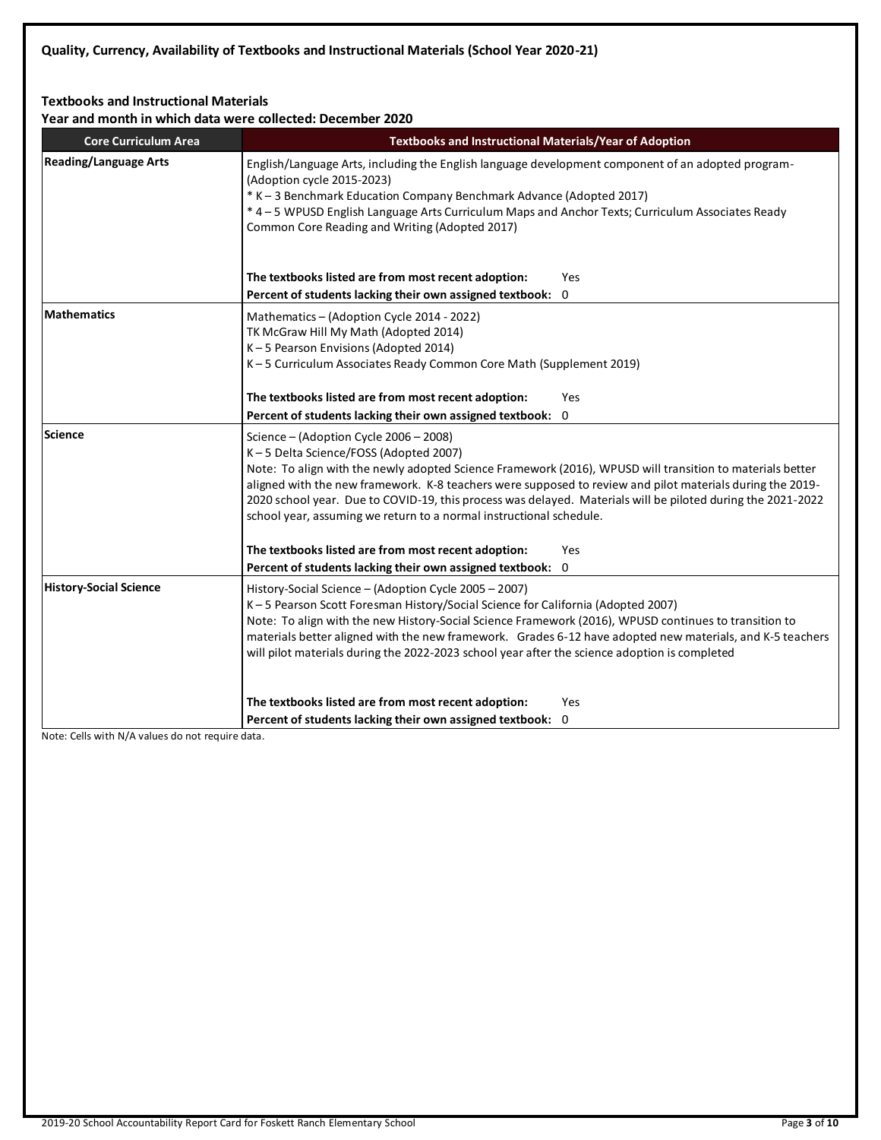### **Textbooks and Instructional Materials**

**Year and month in which data were collected: December 2020**

| Tear and month in which data were collected. December 2020<br><b>Core Curriculum Area</b> | Textbooks and Instructional Materials/Year of Adoption                                                                           |  |  |  |  |
|-------------------------------------------------------------------------------------------|----------------------------------------------------------------------------------------------------------------------------------|--|--|--|--|
|                                                                                           |                                                                                                                                  |  |  |  |  |
| <b>Reading/Language Arts</b>                                                              | English/Language Arts, including the English language development component of an adopted program-<br>(Adoption cycle 2015-2023) |  |  |  |  |
|                                                                                           | * K - 3 Benchmark Education Company Benchmark Advance (Adopted 2017)                                                             |  |  |  |  |
|                                                                                           | * 4 - 5 WPUSD English Language Arts Curriculum Maps and Anchor Texts; Curriculum Associates Ready                                |  |  |  |  |
|                                                                                           | Common Core Reading and Writing (Adopted 2017)                                                                                   |  |  |  |  |
|                                                                                           |                                                                                                                                  |  |  |  |  |
|                                                                                           | The textbooks listed are from most recent adoption:<br>Yes                                                                       |  |  |  |  |
|                                                                                           | Percent of students lacking their own assigned textbook: 0                                                                       |  |  |  |  |
|                                                                                           |                                                                                                                                  |  |  |  |  |
| <b>Mathematics</b>                                                                        | Mathematics - (Adoption Cycle 2014 - 2022)                                                                                       |  |  |  |  |
|                                                                                           | TK McGraw Hill My Math (Adopted 2014)                                                                                            |  |  |  |  |
|                                                                                           | K-5 Pearson Envisions (Adopted 2014)<br>K-5 Curriculum Associates Ready Common Core Math (Supplement 2019)                       |  |  |  |  |
|                                                                                           |                                                                                                                                  |  |  |  |  |
|                                                                                           | The textbooks listed are from most recent adoption:<br>Yes                                                                       |  |  |  |  |
|                                                                                           | Percent of students lacking their own assigned textbook: 0                                                                       |  |  |  |  |
| Science                                                                                   | Science – (Adoption Cycle 2006 – 2008)                                                                                           |  |  |  |  |
|                                                                                           | K-5 Delta Science/FOSS (Adopted 2007)                                                                                            |  |  |  |  |
|                                                                                           | Note: To align with the newly adopted Science Framework (2016), WPUSD will transition to materials better                        |  |  |  |  |
|                                                                                           | aligned with the new framework. K-8 teachers were supposed to review and pilot materials during the 2019-                        |  |  |  |  |
|                                                                                           | 2020 school year. Due to COVID-19, this process was delayed. Materials will be piloted during the 2021-2022                      |  |  |  |  |
|                                                                                           | school year, assuming we return to a normal instructional schedule.                                                              |  |  |  |  |
|                                                                                           | The textbooks listed are from most recent adoption:<br>Yes                                                                       |  |  |  |  |
|                                                                                           | Percent of students lacking their own assigned textbook: 0                                                                       |  |  |  |  |
| <b>History-Social Science</b>                                                             | History-Social Science - (Adoption Cycle 2005 - 2007)                                                                            |  |  |  |  |
|                                                                                           | K-5 Pearson Scott Foresman History/Social Science for California (Adopted 2007)                                                  |  |  |  |  |
|                                                                                           | Note: To align with the new History-Social Science Framework (2016), WPUSD continues to transition to                            |  |  |  |  |
|                                                                                           | materials better aligned with the new framework. Grades 6-12 have adopted new materials, and K-5 teachers                        |  |  |  |  |
|                                                                                           | will pilot materials during the 2022-2023 school year after the science adoption is completed                                    |  |  |  |  |
|                                                                                           |                                                                                                                                  |  |  |  |  |
|                                                                                           | The textbooks listed are from most recent adoption:<br>Yes                                                                       |  |  |  |  |
|                                                                                           | Percent of students lacking their own assigned textbook: 0                                                                       |  |  |  |  |
|                                                                                           |                                                                                                                                  |  |  |  |  |

Note: Cells with N/A values do not require data.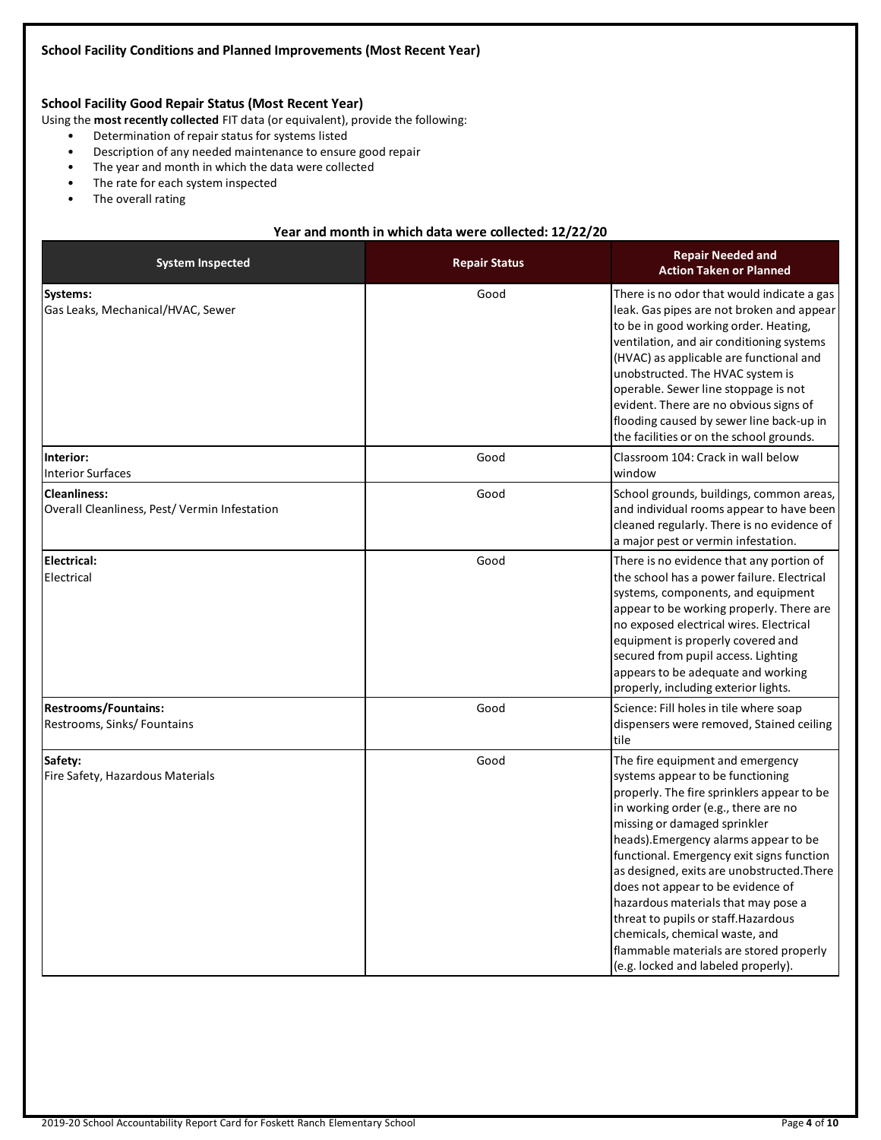### **School Facility Good Repair Status (Most Recent Year)**

Using the **most recently collected** FIT data (or equivalent), provide the following:

- Determination of repair status for systems listed
- Description of any needed maintenance to ensure good repair
- The year and month in which the data were collected
- The rate for each system inspected
- The overall rating

### **Year and month in which data were collected: 12/22/20**

| <b>System Inspected</b>                                             | <b>Repair Status</b> | <b>Repair Needed and</b><br><b>Action Taken or Planned</b>                                                                                                                                                                                                                                                                                                                                                                                                                                                                                                             |
|---------------------------------------------------------------------|----------------------|------------------------------------------------------------------------------------------------------------------------------------------------------------------------------------------------------------------------------------------------------------------------------------------------------------------------------------------------------------------------------------------------------------------------------------------------------------------------------------------------------------------------------------------------------------------------|
| Systems:<br>Gas Leaks, Mechanical/HVAC, Sewer                       | Good                 | There is no odor that would indicate a gas<br>leak. Gas pipes are not broken and appear<br>to be in good working order. Heating,<br>ventilation, and air conditioning systems<br>(HVAC) as applicable are functional and<br>unobstructed. The HVAC system is<br>operable. Sewer line stoppage is not<br>evident. There are no obvious signs of<br>flooding caused by sewer line back-up in<br>the facilities or on the school grounds.                                                                                                                                 |
| Interior:<br><b>Interior Surfaces</b>                               | Good                 | Classroom 104: Crack in wall below<br>window                                                                                                                                                                                                                                                                                                                                                                                                                                                                                                                           |
| <b>Cleanliness:</b><br>Overall Cleanliness, Pest/Vermin Infestation | Good                 | School grounds, buildings, common areas,<br>and individual rooms appear to have been<br>cleaned regularly. There is no evidence of<br>a major pest or vermin infestation.                                                                                                                                                                                                                                                                                                                                                                                              |
| <b>Electrical:</b><br>Electrical                                    | Good                 | There is no evidence that any portion of<br>the school has a power failure. Electrical<br>systems, components, and equipment<br>appear to be working properly. There are<br>no exposed electrical wires. Electrical<br>equipment is properly covered and<br>secured from pupil access. Lighting<br>appears to be adequate and working<br>properly, including exterior lights.                                                                                                                                                                                          |
| <b>Restrooms/Fountains:</b><br>Restrooms, Sinks/Fountains           | Good                 | Science: Fill holes in tile where soap<br>dispensers were removed, Stained ceiling<br>tile                                                                                                                                                                                                                                                                                                                                                                                                                                                                             |
| Safety:<br>Fire Safety, Hazardous Materials                         | Good                 | The fire equipment and emergency<br>systems appear to be functioning<br>properly. The fire sprinklers appear to be<br>in working order (e.g., there are no<br>missing or damaged sprinkler<br>heads). Emergency alarms appear to be<br>functional. Emergency exit signs function<br>as designed, exits are unobstructed. There<br>does not appear to be evidence of<br>hazardous materials that may pose a<br>threat to pupils or staff. Hazardous<br>chemicals, chemical waste, and<br>flammable materials are stored properly<br>(e.g. locked and labeled properly). |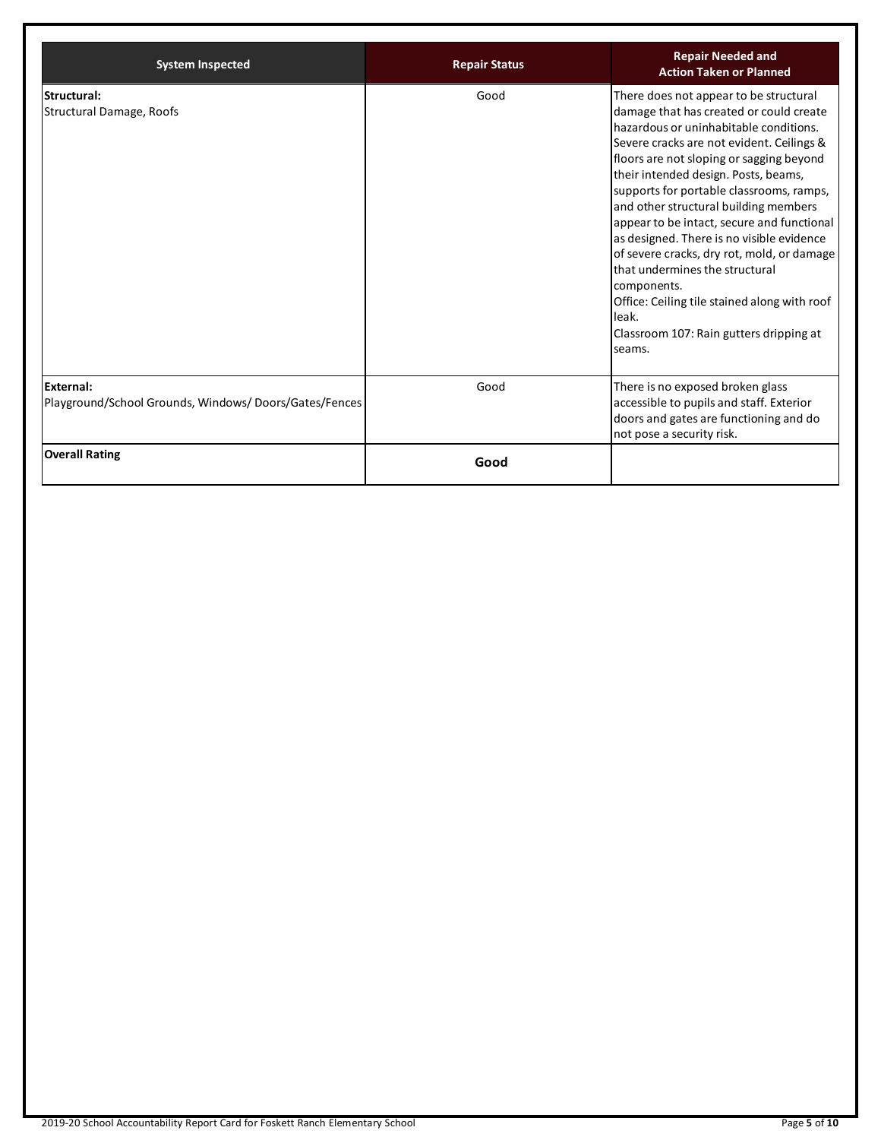| <b>System Inspected</b>                                                   | <b>Repair Status</b> | <b>Repair Needed and</b><br><b>Action Taken or Planned</b>                                                                                                                                                                                                                                                                                                                                                                                                                                                                                                                                                                                                |
|---------------------------------------------------------------------------|----------------------|-----------------------------------------------------------------------------------------------------------------------------------------------------------------------------------------------------------------------------------------------------------------------------------------------------------------------------------------------------------------------------------------------------------------------------------------------------------------------------------------------------------------------------------------------------------------------------------------------------------------------------------------------------------|
| Structural:<br>Structural Damage, Roofs                                   | Good                 | There does not appear to be structural<br>damage that has created or could create<br>hazardous or uninhabitable conditions.<br>Severe cracks are not evident. Ceilings &<br>floors are not sloping or sagging beyond<br>their intended design. Posts, beams,<br>supports for portable classrooms, ramps,<br>and other structural building members<br>appear to be intact, secure and functional<br>as designed. There is no visible evidence<br>of severe cracks, dry rot, mold, or damage<br>that undermines the structural<br>components.<br>Office: Ceiling tile stained along with roof<br>leak.<br>Classroom 107: Rain gutters dripping at<br>seams. |
| <b>External:</b><br>Playground/School Grounds, Windows/Doors/Gates/Fences | Good                 | There is no exposed broken glass<br>accessible to pupils and staff. Exterior<br>doors and gates are functioning and do<br>not pose a security risk.                                                                                                                                                                                                                                                                                                                                                                                                                                                                                                       |
| <b>Overall Rating</b>                                                     | Good                 |                                                                                                                                                                                                                                                                                                                                                                                                                                                                                                                                                                                                                                                           |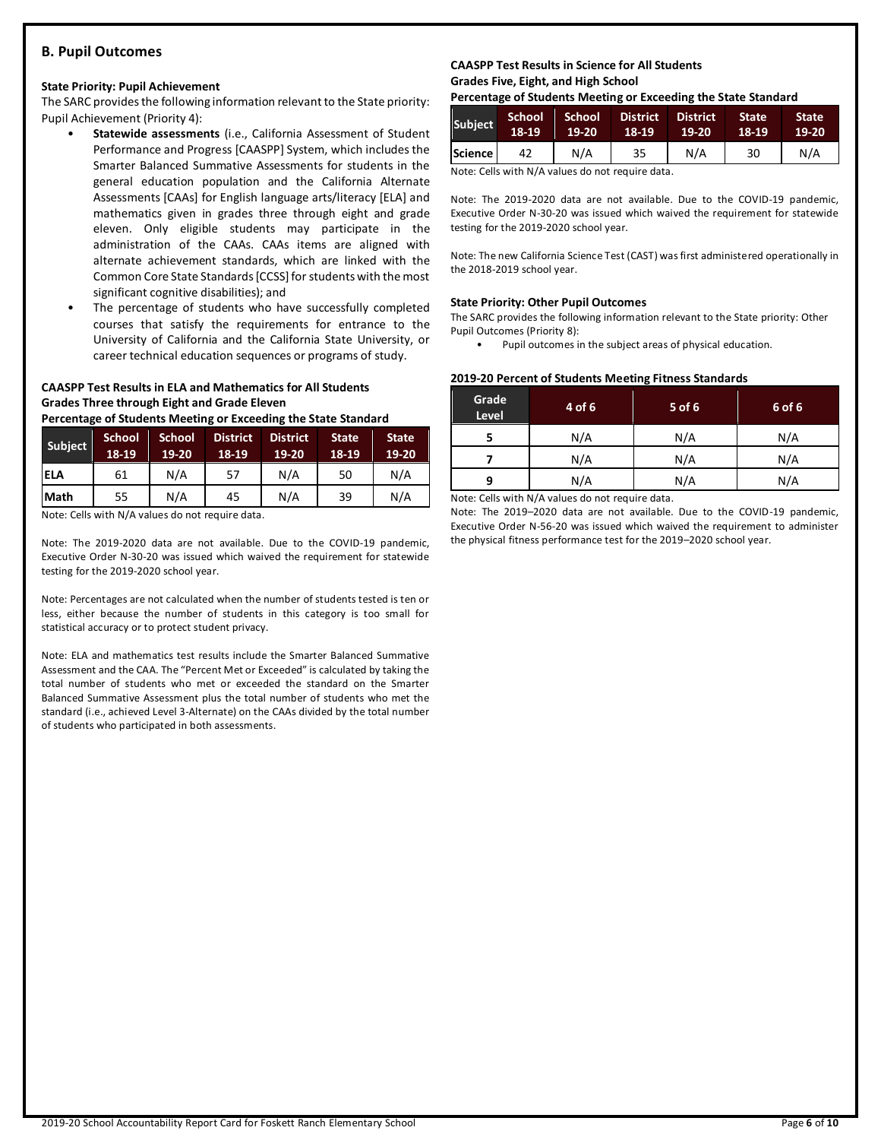### **B. Pupil Outcomes**

#### **State Priority: Pupil Achievement**

The SARC provides the following information relevant to the State priority: Pupil Achievement (Priority 4):

- **Statewide assessments** (i.e., California Assessment of Student Performance and Progress [CAASPP] System, which includes the Smarter Balanced Summative Assessments for students in the general education population and the California Alternate Assessments [CAAs] for English language arts/literacy [ELA] and mathematics given in grades three through eight and grade eleven. Only eligible students may participate in the administration of the CAAs. CAAs items are aligned with alternate achievement standards, which are linked with the Common Core State Standards [CCSS] for students with the most significant cognitive disabilities); and
- The percentage of students who have successfully completed courses that satisfy the requirements for entrance to the University of California and the California State University, or career technical education sequences or programs of study.

### **CAASPP Test Results in ELA and Mathematics for All Students Grades Three through Eight and Grade Eleven**

**Percentage of Students Meeting or Exceeding the State Standard**

| Subject     | <b>School</b><br>18-19 | <b>School</b><br>19-20 | <b>District</b><br>18-19 | <b>District</b><br>19-20 | <b>State</b><br>18-19 | <b>State</b><br>$19-20$ |
|-------------|------------------------|------------------------|--------------------------|--------------------------|-----------------------|-------------------------|
| <b>ELA</b>  | 61                     | N/A                    | 57                       | N/A                      | 50                    | N/A                     |
| <b>Math</b> | 55                     | N/A                    | 45                       | N/A                      | 39                    | N/A                     |

Note: Cells with N/A values do not require data.

Note: The 2019-2020 data are not available. Due to the COVID-19 pandemic, Executive Order N-30-20 was issued which waived the requirement for statewide testing for the 2019-2020 school year.

Note: Percentages are not calculated when the number of students tested is ten or less, either because the number of students in this category is too small for statistical accuracy or to protect student privacy.

Note: ELA and mathematics test results include the Smarter Balanced Summative Assessment and the CAA. The "Percent Met or Exceeded" is calculated by taking the total number of students who met or exceeded the standard on the Smarter Balanced Summative Assessment plus the total number of students who met the standard (i.e., achieved Level 3-Alternate) on the CAAs divided by the total number of students who participated in both assessments.

### **CAASPP Test Results in Science for All Students Grades Five, Eight, and High School**

**Percentage of Students Meeting or Exceeding the State Standard**

| Subject          | 'School<br>18-19 | School<br>19-20 | <b>District</b><br>18-19 | <b>District</b><br>19-20 | <b>State</b><br>18-19 | <b>State</b><br>$19-20$ |
|------------------|------------------|-----------------|--------------------------|--------------------------|-----------------------|-------------------------|
| <b>Science</b> l | 42               | N/A             | 35                       | N/A                      | 30                    | N/A                     |

Note: Cells with N/A values do not require data.

Note: The 2019-2020 data are not available. Due to the COVID-19 pandemic, Executive Order N-30-20 was issued which waived the requirement for statewide testing for the 2019-2020 school year.

Note: The new California Science Test (CAST) was first administered operationally in the 2018-2019 school year.

#### **State Priority: Other Pupil Outcomes**

The SARC provides the following information relevant to the State priority: Other Pupil Outcomes (Priority 8):

Pupil outcomes in the subject areas of physical education.

#### **2019-20 Percent of Students Meeting Fitness Standards**

| Grade<br>Level | 4 of 6 | $5$ of 6 | 6 of 6 |
|----------------|--------|----------|--------|
|                | N/A    | N/A      | N/A    |
|                | N/A    | N/A      | N/A    |
| q              | N/A    | N/A      | N/A    |

Note: Cells with N/A values do not require data.

Note: The 2019–2020 data are not available. Due to the COVID-19 pandemic, Executive Order N-56-20 was issued which waived the requirement to administer the physical fitness performance test for the 2019–2020 school year.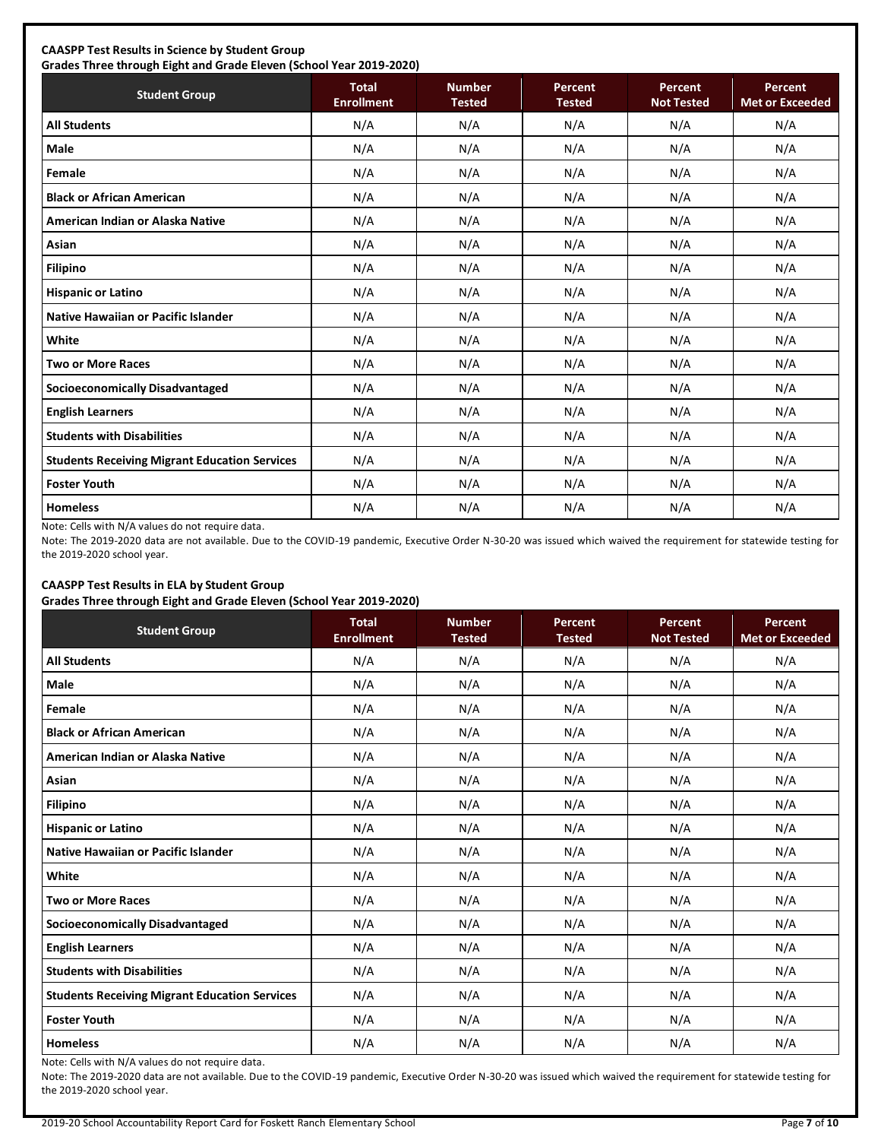### **CAASPP Test Results in Science by Student Group**

**Grades Three through Eight and Grade Eleven (School Year 2019-2020)**

| <b>Student Group</b>                                 | <b>Total</b><br><b>Enrollment</b> | <b>Number</b><br><b>Tested</b> | <b>Percent</b><br><b>Tested</b> | Percent<br><b>Not Tested</b> | Percent<br><b>Met or Exceeded</b> |
|------------------------------------------------------|-----------------------------------|--------------------------------|---------------------------------|------------------------------|-----------------------------------|
| <b>All Students</b>                                  | N/A                               | N/A                            | N/A                             | N/A                          | N/A                               |
| Male                                                 | N/A                               | N/A                            | N/A                             | N/A                          | N/A                               |
| Female                                               | N/A                               | N/A                            | N/A                             | N/A                          | N/A                               |
| <b>Black or African American</b>                     | N/A                               | N/A                            | N/A                             | N/A                          | N/A                               |
| American Indian or Alaska Native                     | N/A                               | N/A                            | N/A                             | N/A                          | N/A                               |
| Asian                                                | N/A                               | N/A                            | N/A                             | N/A                          | N/A                               |
| <b>Filipino</b>                                      | N/A                               | N/A                            | N/A                             | N/A                          | N/A                               |
| <b>Hispanic or Latino</b>                            | N/A                               | N/A                            | N/A                             | N/A                          | N/A                               |
| <b>Native Hawaiian or Pacific Islander</b>           | N/A                               | N/A                            | N/A                             | N/A                          | N/A                               |
| White                                                | N/A                               | N/A                            | N/A                             | N/A                          | N/A                               |
| <b>Two or More Races</b>                             | N/A                               | N/A                            | N/A                             | N/A                          | N/A                               |
| Socioeconomically Disadvantaged                      | N/A                               | N/A                            | N/A                             | N/A                          | N/A                               |
| <b>English Learners</b>                              | N/A                               | N/A                            | N/A                             | N/A                          | N/A                               |
| <b>Students with Disabilities</b>                    | N/A                               | N/A                            | N/A                             | N/A                          | N/A                               |
| <b>Students Receiving Migrant Education Services</b> | N/A                               | N/A                            | N/A                             | N/A                          | N/A                               |
| <b>Foster Youth</b>                                  | N/A                               | N/A                            | N/A                             | N/A                          | N/A                               |
| <b>Homeless</b>                                      | N/A                               | N/A                            | N/A                             | N/A                          | N/A                               |

Note: Cells with N/A values do not require data.

Note: The 2019-2020 data are not available. Due to the COVID-19 pandemic, Executive Order N-30-20 was issued which waived the requirement for statewide testing for the 2019-2020 school year.

### **CAASPP Test Results in ELA by Student Group**

**Grades Three through Eight and Grade Eleven (School Year 2019-2020)**

| <b>Student Group</b>                                 | <b>Total</b><br><b>Enrollment</b> | <b>Number</b><br><b>Tested</b> | Percent<br><b>Tested</b> | Percent<br><b>Not Tested</b> | Percent<br><b>Met or Exceeded</b> |
|------------------------------------------------------|-----------------------------------|--------------------------------|--------------------------|------------------------------|-----------------------------------|
| <b>All Students</b>                                  | N/A                               | N/A                            | N/A                      | N/A                          | N/A                               |
| <b>Male</b>                                          | N/A                               | N/A                            | N/A                      | N/A                          | N/A                               |
| Female                                               | N/A                               | N/A                            | N/A                      | N/A                          | N/A                               |
| <b>Black or African American</b>                     | N/A                               | N/A                            | N/A                      | N/A                          | N/A                               |
| American Indian or Alaska Native                     | N/A                               | N/A                            | N/A                      | N/A                          | N/A                               |
| Asian                                                | N/A                               | N/A                            | N/A                      | N/A                          | N/A                               |
| <b>Filipino</b>                                      | N/A                               | N/A                            | N/A                      | N/A                          | N/A                               |
| <b>Hispanic or Latino</b>                            | N/A                               | N/A                            | N/A                      | N/A                          | N/A                               |
| Native Hawaiian or Pacific Islander                  | N/A                               | N/A                            | N/A                      | N/A                          | N/A                               |
| White                                                | N/A                               | N/A                            | N/A                      | N/A                          | N/A                               |
| <b>Two or More Races</b>                             | N/A                               | N/A                            | N/A                      | N/A                          | N/A                               |
| <b>Socioeconomically Disadvantaged</b>               | N/A                               | N/A                            | N/A                      | N/A                          | N/A                               |
| <b>English Learners</b>                              | N/A                               | N/A                            | N/A                      | N/A                          | N/A                               |
| <b>Students with Disabilities</b>                    | N/A                               | N/A                            | N/A                      | N/A                          | N/A                               |
| <b>Students Receiving Migrant Education Services</b> | N/A                               | N/A                            | N/A                      | N/A                          | N/A                               |
| <b>Foster Youth</b>                                  | N/A                               | N/A                            | N/A                      | N/A                          | N/A                               |
| <b>Homeless</b>                                      | N/A                               | N/A                            | N/A                      | N/A                          | N/A                               |

Note: Cells with N/A values do not require data.

Note: The 2019-2020 data are not available. Due to the COVID-19 pandemic, Executive Order N-30-20 was issued which waived the requirement for statewide testing for the 2019-2020 school year.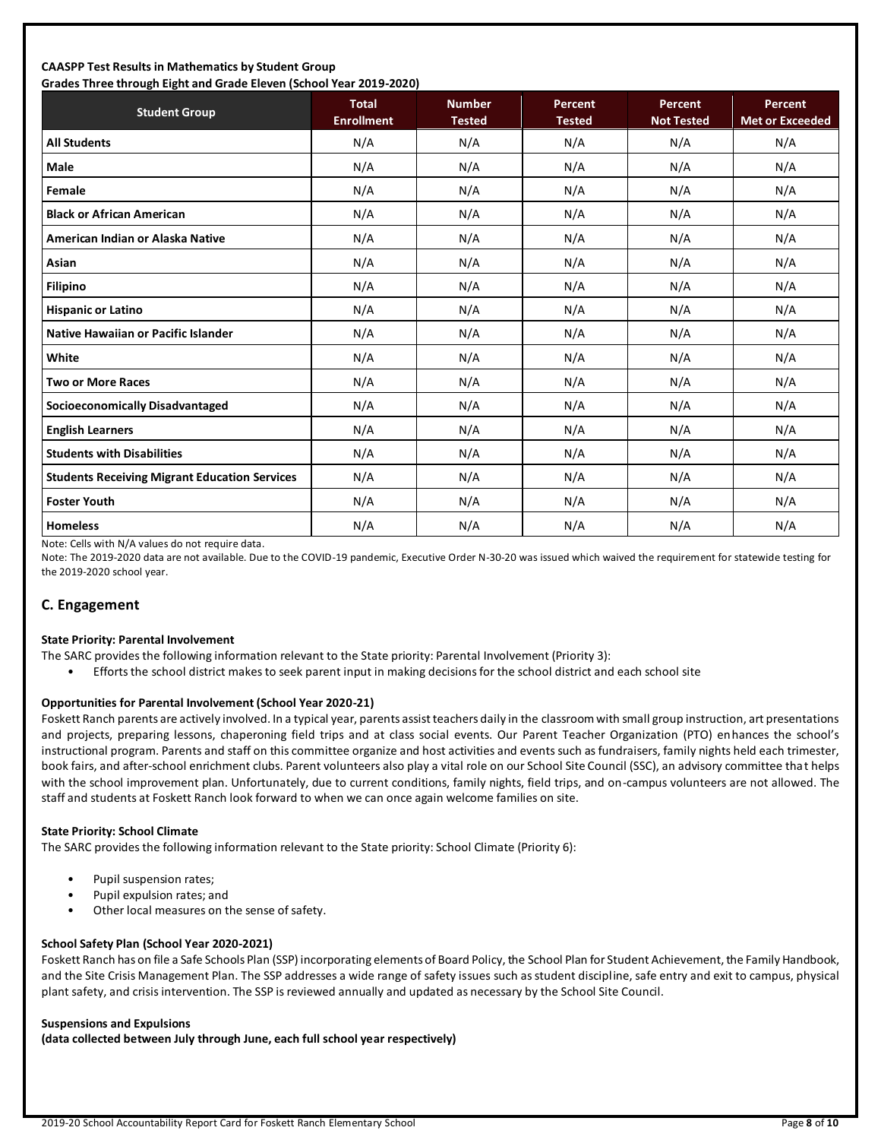### **CAASPP Test Results in Mathematics by Student Group Grades Three through Eight and Grade Eleven (School Year 2019-2020)**

| Grades Three through Eight and Grade Eleven (School Tear 2019-2020) | <b>Total</b>      | <b>Number</b> | <b>Percent</b> | Percent           | Percent                |
|---------------------------------------------------------------------|-------------------|---------------|----------------|-------------------|------------------------|
| <b>Student Group</b>                                                | <b>Enrollment</b> | <b>Tested</b> | <b>Tested</b>  | <b>Not Tested</b> | <b>Met or Exceeded</b> |
| <b>All Students</b>                                                 | N/A               | N/A           | N/A            | N/A               | N/A                    |
| Male                                                                | N/A               | N/A           | N/A            | N/A               | N/A                    |
| Female                                                              | N/A               | N/A           | N/A            | N/A               | N/A                    |
| <b>Black or African American</b>                                    | N/A               | N/A           | N/A            | N/A               | N/A                    |
| American Indian or Alaska Native                                    | N/A               | N/A           | N/A            | N/A               | N/A                    |
| Asian                                                               | N/A               | N/A           | N/A            | N/A               | N/A                    |
| <b>Filipino</b>                                                     | N/A               | N/A           | N/A            | N/A               | N/A                    |
| <b>Hispanic or Latino</b>                                           | N/A               | N/A           | N/A            | N/A               | N/A                    |
| Native Hawaiian or Pacific Islander                                 | N/A               | N/A           | N/A            | N/A               | N/A                    |
| White                                                               | N/A               | N/A           | N/A            | N/A               | N/A                    |
| <b>Two or More Races</b>                                            | N/A               | N/A           | N/A            | N/A               | N/A                    |
| <b>Socioeconomically Disadvantaged</b>                              | N/A               | N/A           | N/A            | N/A               | N/A                    |
| <b>English Learners</b>                                             | N/A               | N/A           | N/A            | N/A               | N/A                    |
| <b>Students with Disabilities</b>                                   | N/A               | N/A           | N/A            | N/A               | N/A                    |
| <b>Students Receiving Migrant Education Services</b>                | N/A               | N/A           | N/A            | N/A               | N/A                    |
| <b>Foster Youth</b>                                                 | N/A               | N/A           | N/A            | N/A               | N/A                    |
| <b>Homeless</b>                                                     | N/A               | N/A           | N/A            | N/A               | N/A                    |

Note: Cells with N/A values do not require data.

Note: The 2019-2020 data are not available. Due to the COVID-19 pandemic, Executive Order N-30-20 was issued which waived the requirement for statewide testing for the 2019-2020 school year.

### **C. Engagement**

#### **State Priority: Parental Involvement**

- The SARC provides the following information relevant to the State priority: Parental Involvement (Priority 3):
	- Efforts the school district makes to seek parent input in making decisions for the school district and each school site

### **Opportunities for Parental Involvement (School Year 2020-21)**

Foskett Ranch parents are actively involved. In a typical year, parents assist teachers daily in the classroom with small group instruction, art presentations and projects, preparing lessons, chaperoning field trips and at class social events. Our Parent Teacher Organization (PTO) enhances the school's instructional program. Parents and staff on this committee organize and host activities and events such as fundraisers, family nights held each trimester, book fairs, and after-school enrichment clubs. Parent volunteers also play a vital role on our School Site Council (SSC), an advisory committee that helps with the school improvement plan. Unfortunately, due to current conditions, family nights, field trips, and on-campus volunteers are not allowed. The staff and students at Foskett Ranch look forward to when we can once again welcome families on site.

### **State Priority: School Climate**

The SARC provides the following information relevant to the State priority: School Climate (Priority 6):

- Pupil suspension rates;
- Pupil expulsion rates; and
- Other local measures on the sense of safety.

### **School Safety Plan (School Year 2020-2021)**

Foskett Ranch has on file a Safe Schools Plan (SSP) incorporating elements of Board Policy, the School Plan for Student Achievement, the Family Handbook, and the Site Crisis Management Plan. The SSP addresses a wide range of safety issues such as student discipline, safe entry and exit to campus, physical plant safety, and crisis intervention. The SSP is reviewed annually and updated as necessary by the School Site Council.

#### **Suspensions and Expulsions**

**(data collected between July through June, each full school year respectively)**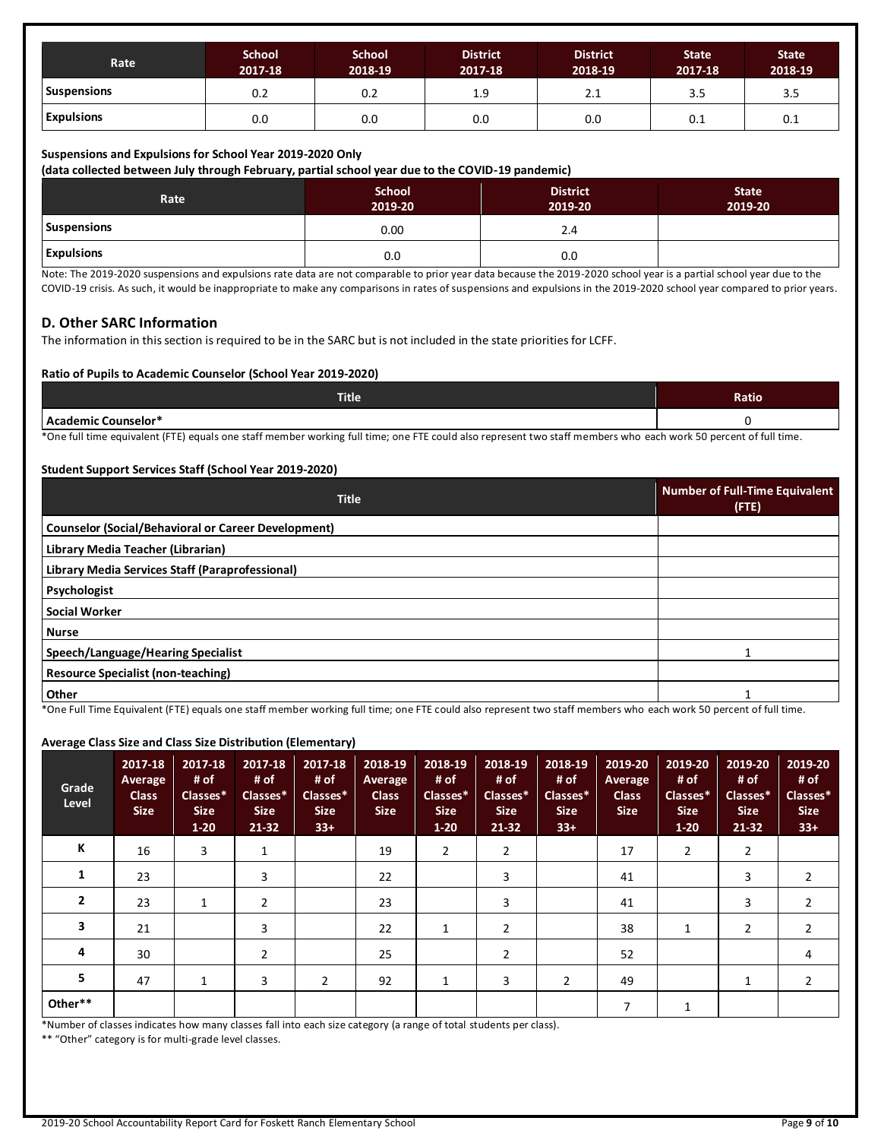| Rate               | <b>School</b><br>2017-18 | <b>School</b><br>2018-19 | <b>District</b><br>2017-18 | <b>District</b><br>2018-19 | <b>State</b><br>2017-18 | <b>State</b><br>2018-19 |
|--------------------|--------------------------|--------------------------|----------------------------|----------------------------|-------------------------|-------------------------|
| <b>Suspensions</b> | 0.2                      | 0.2                      | 1.9                        | 2.1                        | 3.5                     | 3.5                     |
| <b>Expulsions</b>  | 0.0                      | 0.0                      | 0.0                        | 0.0                        | U. L                    | 0.1                     |

#### **Suspensions and Expulsions for School Year 2019-2020 Only**

**(data collected between July through February, partial school year due to the COVID-19 pandemic)**

| Rate              | <b>School</b><br>2019-20 | <b>District</b><br>2019-20 | <b>State</b><br>2019-20 |
|-------------------|--------------------------|----------------------------|-------------------------|
| Suspensions       | 0.00                     | 2.4                        |                         |
| <b>Expulsions</b> | 0.0                      | 0.0                        |                         |

Note: The 2019-2020 suspensions and expulsions rate data are not comparable to prior year data because the 2019-2020 school year is a partial school year due to the COVID-19 crisis. As such, it would be inappropriate to make any comparisons in rates of suspensions and expulsions in the 2019-2020 school year compared to prior years.

### **D. Other SARC Information**

The information in this section is required to be in the SARC but is not included in the state priorities for LCFF.

#### **Ratio of Pupils to Academic Counselor (School Year 2019-2020)**

| <b>Title</b>               | <b>Ratio</b> |
|----------------------------|--------------|
| <b>Academic Counselor*</b> |              |

\*One full time equivalent (FTE) equals one staff member working full time; one FTE could also represent two staff members who each work 50 percent of full time.

#### **Student Support Services Staff (School Year 2019-2020)**

| <b>Title</b>                                                                         | Number of Full-Time Equivalent<br>$($ FTE $)$ |
|--------------------------------------------------------------------------------------|-----------------------------------------------|
| <b>Counselor (Social/Behavioral or Career Development)</b>                           |                                               |
| Library Media Teacher (Librarian)                                                    |                                               |
| Library Media Services Staff (Paraprofessional)                                      |                                               |
| Psychologist                                                                         |                                               |
| <b>Social Worker</b>                                                                 |                                               |
| <b>Nurse</b>                                                                         |                                               |
| Speech/Language/Hearing Specialist                                                   |                                               |
| Resource Specialist (non-teaching)                                                   |                                               |
| Other<br>$\sim$ $\sim$ $\sim$<br>$\sim$ $\sim$ $\sim$ $\sim$ $\sim$ $\sim$<br>.<br>. |                                               |

\*One Full Time Equivalent (FTE) equals one staff member working full time; one FTE could also represent two staff members who each work 50 percent of full time.

#### **Average Class Size and Class Size Distribution (Elementary)**

| Grade<br>Level | 2017-18<br>Average<br><b>Class</b><br><b>Size</b> | 2017-18<br># of<br>Classes*<br><b>Size</b><br>$1-20$ | 2017-18<br># of<br>Classes*<br><b>Size</b><br>$21 - 32$ | 2017-18<br># of<br>Classes*<br><b>Size</b><br>$33+$ | 2018-19<br>Average<br><b>Class</b><br><b>Size</b> | 2018-19<br># of<br>Classes*<br><b>Size</b><br>$1 - 20$ | 2018-19<br># of<br>Classes*<br><b>Size</b><br>$21 - 32$ | 2018-19<br># of<br>Classes*<br><b>Size</b><br>$33+$ | 2019-20<br>Average<br><b>Class</b><br><b>Size</b> | 2019-20<br># of<br>Classes*<br><b>Size</b><br>$1 - 20$ | 2019-20<br># of<br>Classes*<br><b>Size</b><br>$21 - 32$ | 2019-20<br># of<br>Classes*<br><b>Size</b><br>$33+$ |
|----------------|---------------------------------------------------|------------------------------------------------------|---------------------------------------------------------|-----------------------------------------------------|---------------------------------------------------|--------------------------------------------------------|---------------------------------------------------------|-----------------------------------------------------|---------------------------------------------------|--------------------------------------------------------|---------------------------------------------------------|-----------------------------------------------------|
| К              | 16                                                | 3                                                    | 1                                                       |                                                     | 19                                                | $\overline{2}$                                         | $\overline{2}$                                          |                                                     | 17                                                | 2                                                      | $\overline{2}$                                          |                                                     |
| 1              | 23                                                |                                                      | 3                                                       |                                                     | 22                                                |                                                        | 3                                                       |                                                     | 41                                                |                                                        | 3                                                       | 2                                                   |
| $\overline{2}$ | 23                                                | 1                                                    | 2                                                       |                                                     | 23                                                |                                                        | 3                                                       |                                                     | 41                                                |                                                        | 3                                                       | $\overline{2}$                                      |
| 3              | 21                                                |                                                      | 3                                                       |                                                     | 22                                                | 1                                                      | 2                                                       |                                                     | 38                                                | 1                                                      | 2                                                       | 2                                                   |
| 4              | 30                                                |                                                      | $\overline{2}$                                          |                                                     | 25                                                |                                                        | $\overline{2}$                                          |                                                     | 52                                                |                                                        |                                                         | 4                                                   |
| 5              | 47                                                | 1                                                    | 3                                                       | $\overline{2}$                                      | 92                                                | 1                                                      | 3                                                       | 2                                                   | 49                                                |                                                        |                                                         | 2                                                   |
| Other**        |                                                   |                                                      |                                                         |                                                     |                                                   |                                                        |                                                         |                                                     | 7                                                 | 1                                                      |                                                         |                                                     |

\*Number of classes indicates how many classes fall into each size category (a range of total students per class).

\*\* "Other" category is for multi-grade level classes.